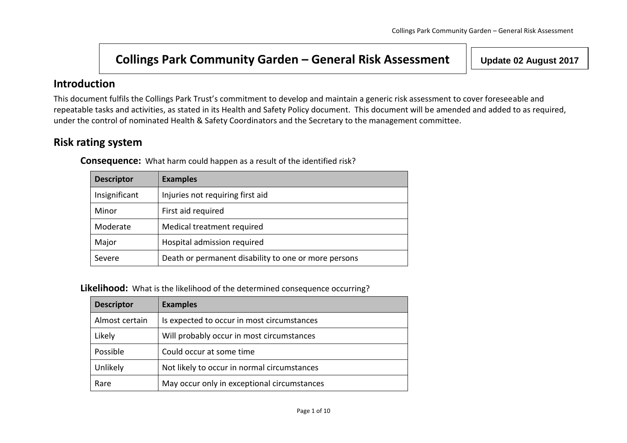# **Collings Park Community Garden – General Risk Assessment Update 02 August <sup>2017</sup>**

## **Introduction**

This document fulfils the Collings Park Trust's commitment to develop and maintain a generic risk assessment to cover foreseeable and repeatable tasks and activities, as stated in its Health and Safety Policy document. This document will be amended and added to as required, under the control of nominated Health & Safety Coordinators and the Secretary to the management committee.

## **Risk rating system**

**Consequence:** What harm could happen as a result of the identified risk?

| <b>Descriptor</b> | <b>Examples</b>                                      |
|-------------------|------------------------------------------------------|
| Insignificant     | Injuries not requiring first aid                     |
| Minor             | First aid required                                   |
| Moderate          | Medical treatment required                           |
| Major             | Hospital admission required                          |
| Severe            | Death or permanent disability to one or more persons |

**Likelihood:** What is the likelihood of the determined consequence occurring?

| <b>Descriptor</b> | <b>Examples</b>                             |
|-------------------|---------------------------------------------|
| Almost certain    | Is expected to occur in most circumstances  |
| Likely            | Will probably occur in most circumstances   |
| Possible          | Could occur at some time                    |
| Unlikely          | Not likely to occur in normal circumstances |
| Rare              | May occur only in exceptional circumstances |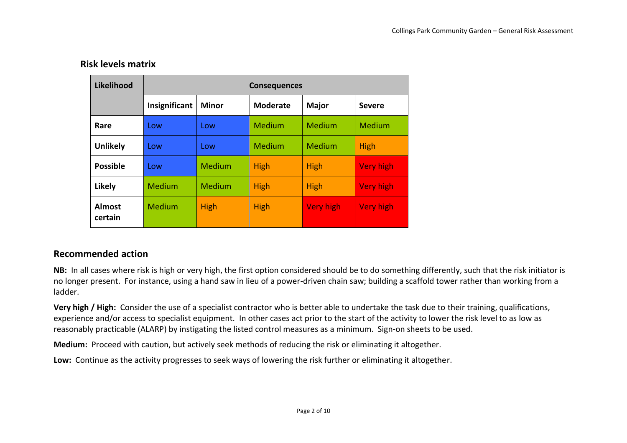#### **Risk levels matrix**

| Likelihood               | <b>Consequences</b> |              |                 |                  |                  |  |  |  |
|--------------------------|---------------------|--------------|-----------------|------------------|------------------|--|--|--|
|                          | Insignificant       | <b>Minor</b> | <b>Moderate</b> | <b>Major</b>     | <b>Severe</b>    |  |  |  |
| Rare                     | Low                 | Low          | Medium          | Medium           | <b>Medium</b>    |  |  |  |
| <b>Unlikely</b>          | Low                 | Low          | Medium          | Medium           | High             |  |  |  |
| <b>Possible</b>          | Low                 | Medium       | <b>High</b>     | <b>High</b>      | <b>Very high</b> |  |  |  |
| Likely                   | Medium              | Medium       | <b>High</b>     | <b>High</b>      | <b>Very high</b> |  |  |  |
| <b>Almost</b><br>certain | Medium              | <b>High</b>  | <b>High</b>     | <b>Very high</b> | <b>Very high</b> |  |  |  |

#### **Recommended action**

**NB:** In all cases where risk is high or very high, the first option considered should be to do something differently, such that the risk initiator is no longer present. For instance, using a hand saw in lieu of a power-driven chain saw; building a scaffold tower rather than working from a ladder.

**Very high / High:** Consider the use of a specialist contractor who is better able to undertake the task due to their training, qualifications, experience and/or access to specialist equipment. In other cases act prior to the start of the activity to lower the risk level to as low as reasonably practicable (ALARP) by instigating the listed control measures as a minimum. Sign-on sheets to be used.

**Medium:** Proceed with caution, but actively seek methods of reducing the risk or eliminating it altogether.

**Low:** Continue as the activity progresses to seek ways of lowering the risk further or eliminating it altogether.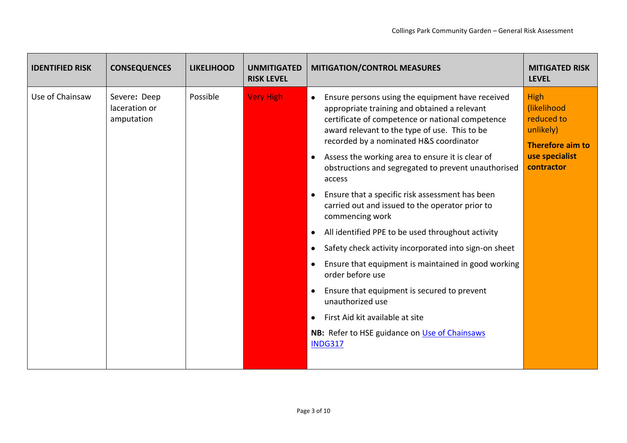| <b>IDENTIFIED RISK</b> | <b>CONSEQUENCES</b>                         | <b>LIKELIHOOD</b> | <b>UNMITIGATED</b><br><b>RISK LEVEL</b> | <b>MITIGATION/CONTROL MEASURES</b>                                                                                                                                                                                                                                                                                             | <b>MITIGATED RISK</b><br><b>LEVEL</b>                                                       |
|------------------------|---------------------------------------------|-------------------|-----------------------------------------|--------------------------------------------------------------------------------------------------------------------------------------------------------------------------------------------------------------------------------------------------------------------------------------------------------------------------------|---------------------------------------------------------------------------------------------|
| Use of Chainsaw        | Severe: Deep<br>laceration or<br>amputation | Possible          | <b>Very High</b>                        | Ensure persons using the equipment have received<br>$\bullet$<br>appropriate training and obtained a relevant<br>certificate of competence or national competence<br>award relevant to the type of use. This to be<br>recorded by a nominated H&S coordinator<br>Assess the working area to ensure it is clear of<br>$\bullet$ | High<br>(likelihood<br>reduced to<br>unlikely)<br><b>Therefore aim to</b><br>use specialist |
|                        |                                             |                   |                                         | obstructions and segregated to prevent unauthorised<br>access                                                                                                                                                                                                                                                                  | contractor                                                                                  |
|                        |                                             |                   |                                         | Ensure that a specific risk assessment has been<br>$\bullet$<br>carried out and issued to the operator prior to<br>commencing work                                                                                                                                                                                             |                                                                                             |
|                        |                                             |                   |                                         | All identified PPE to be used throughout activity<br>$\bullet$                                                                                                                                                                                                                                                                 |                                                                                             |
|                        |                                             |                   |                                         | Safety check activity incorporated into sign-on sheet<br>$\bullet$                                                                                                                                                                                                                                                             |                                                                                             |
|                        |                                             |                   |                                         | Ensure that equipment is maintained in good working<br>$\bullet$<br>order before use                                                                                                                                                                                                                                           |                                                                                             |
|                        |                                             |                   |                                         | Ensure that equipment is secured to prevent<br>unauthorized use                                                                                                                                                                                                                                                                |                                                                                             |
|                        |                                             |                   |                                         | First Aid kit available at site<br>$\bullet$                                                                                                                                                                                                                                                                                   |                                                                                             |
|                        |                                             |                   |                                         | NB: Refer to HSE guidance on Use of Chainsaws<br><b>INDG317</b>                                                                                                                                                                                                                                                                |                                                                                             |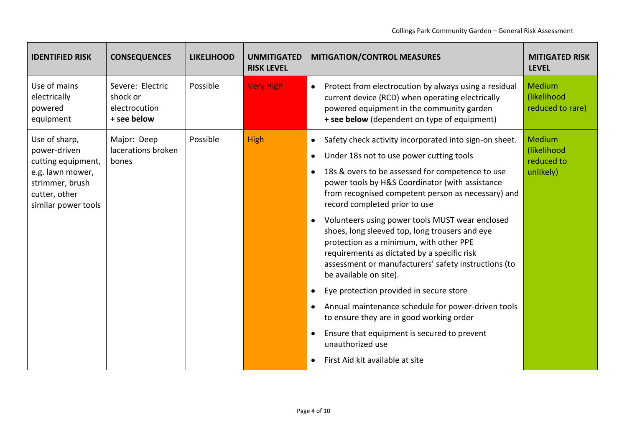| <b>IDENTIFIED RISK</b>                                                                                                             | <b>CONSEQUENCES</b>                                          | <b>LIKELIHOOD</b> | <b>UNMITIGATED</b><br><b>RISK LEVEL</b> | <b>MITIGATION/CONTROL MEASURES</b>                                                                                                                                                                                                                                                                                                                                                                                                                                                                                                                                                                                                                                                                                                                                                                                                                                                                                                   | <b>MITIGATED RISK</b><br><b>LEVEL</b>                   |
|------------------------------------------------------------------------------------------------------------------------------------|--------------------------------------------------------------|-------------------|-----------------------------------------|--------------------------------------------------------------------------------------------------------------------------------------------------------------------------------------------------------------------------------------------------------------------------------------------------------------------------------------------------------------------------------------------------------------------------------------------------------------------------------------------------------------------------------------------------------------------------------------------------------------------------------------------------------------------------------------------------------------------------------------------------------------------------------------------------------------------------------------------------------------------------------------------------------------------------------------|---------------------------------------------------------|
| Use of mains<br>electrically<br>powered<br>equipment                                                                               | Severe: Electric<br>shock or<br>electrocution<br>+ see below | Possible          | <b>Very High</b>                        | Protect from electrocution by always using a residual<br>$\bullet$<br>current device (RCD) when operating electrically<br>powered equipment in the community garden<br>+ see below (dependent on type of equipment)                                                                                                                                                                                                                                                                                                                                                                                                                                                                                                                                                                                                                                                                                                                  | Medium<br>(likelihood<br>reduced to rare)               |
| Use of sharp,<br>power-driven<br>cutting equipment,<br>e.g. lawn mower,<br>strimmer, brush<br>cutter, other<br>similar power tools | Major: Deep<br>lacerations broken<br>bones                   | Possible          | High                                    | Safety check activity incorporated into sign-on sheet.<br>٠<br>Under 18s not to use power cutting tools<br>$\bullet$<br>18s & overs to be assessed for competence to use<br>$\bullet$<br>power tools by H&S Coordinator (with assistance<br>from recognised competent person as necessary) and<br>record completed prior to use<br>Volunteers using power tools MUST wear enclosed<br>$\bullet$<br>shoes, long sleeved top, long trousers and eye<br>protection as a minimum, with other PPE<br>requirements as dictated by a specific risk<br>assessment or manufacturers' safety instructions (to<br>be available on site).<br>Eye protection provided in secure store<br>$\bullet$<br>Annual maintenance schedule for power-driven tools<br>$\bullet$<br>to ensure they are in good working order<br>Ensure that equipment is secured to prevent<br>$\bullet$<br>unauthorized use<br>First Aid kit available at site<br>$\bullet$ | <b>Medium</b><br>(likelihood<br>reduced to<br>unlikely) |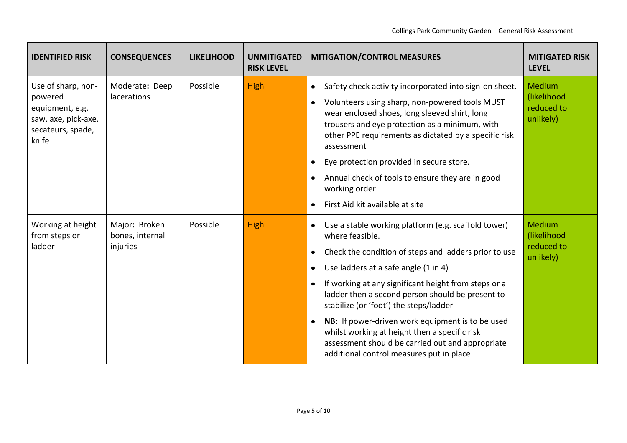| <b>IDENTIFIED RISK</b>                                                                                | <b>CONSEQUENCES</b>                          | <b>LIKELIHOOD</b> | <b>UNMITIGATED</b><br><b>RISK LEVEL</b> | <b>MITIGATION/CONTROL MEASURES</b>                                                                                                                                                                                                                                                                                                                                                                                                                                                                  | <b>MITIGATED RISK</b><br><b>LEVEL</b>                   |
|-------------------------------------------------------------------------------------------------------|----------------------------------------------|-------------------|-----------------------------------------|-----------------------------------------------------------------------------------------------------------------------------------------------------------------------------------------------------------------------------------------------------------------------------------------------------------------------------------------------------------------------------------------------------------------------------------------------------------------------------------------------------|---------------------------------------------------------|
| Use of sharp, non-<br>powered<br>equipment, e.g.<br>saw, axe, pick-axe,<br>secateurs, spade,<br>knife | Moderate: Deep<br>lacerations                | Possible          | High                                    | Safety check activity incorporated into sign-on sheet.<br>$\bullet$<br>Volunteers using sharp, non-powered tools MUST<br>$\bullet$<br>wear enclosed shoes, long sleeved shirt, long<br>trousers and eye protection as a minimum, with<br>other PPE requirements as dictated by a specific risk<br>assessment<br>Eye protection provided in secure store.<br>$\bullet$<br>Annual check of tools to ensure they are in good<br>$\bullet$                                                              | Medium<br>(likelihood<br>reduced to<br>unlikely)        |
|                                                                                                       |                                              |                   |                                         | working order<br>First Aid kit available at site<br>$\bullet$                                                                                                                                                                                                                                                                                                                                                                                                                                       |                                                         |
| Working at height<br>from steps or<br>ladder                                                          | Major: Broken<br>bones, internal<br>injuries | Possible          | High                                    | Use a stable working platform (e.g. scaffold tower)<br>$\bullet$<br>where feasible.<br>Check the condition of steps and ladders prior to use<br>$\bullet$<br>Use ladders at a safe angle (1 in 4)<br>$\bullet$<br>If working at any significant height from steps or a<br>$\bullet$<br>ladder then a second person should be present to<br>stabilize (or 'foot') the steps/ladder<br>NB: If power-driven work equipment is to be used<br>$\bullet$<br>whilst working at height then a specific risk | <b>Medium</b><br>(likelihood<br>reduced to<br>unlikely) |
|                                                                                                       |                                              |                   |                                         | assessment should be carried out and appropriate<br>additional control measures put in place                                                                                                                                                                                                                                                                                                                                                                                                        |                                                         |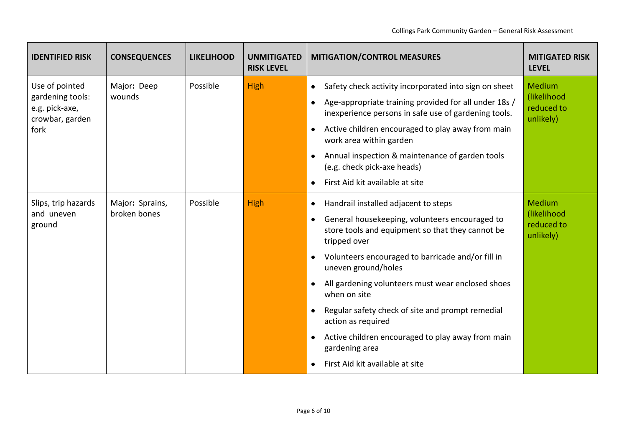| <b>IDENTIFIED RISK</b>                                                          | <b>CONSEQUENCES</b>             | <b>LIKELIHOOD</b> | <b>UNMITIGATED</b><br><b>RISK LEVEL</b> | <b>MITIGATION/CONTROL MEASURES</b>                                                                                                                                                                                                                                                                                                                                                                                                                                                                                                                                                         | <b>MITIGATED RISK</b><br><b>LEVEL</b>                   |
|---------------------------------------------------------------------------------|---------------------------------|-------------------|-----------------------------------------|--------------------------------------------------------------------------------------------------------------------------------------------------------------------------------------------------------------------------------------------------------------------------------------------------------------------------------------------------------------------------------------------------------------------------------------------------------------------------------------------------------------------------------------------------------------------------------------------|---------------------------------------------------------|
| Use of pointed<br>gardening tools:<br>e.g. pick-axe,<br>crowbar, garden<br>fork | Major: Deep<br>wounds           | Possible          | High                                    | Safety check activity incorporated into sign on sheet<br>$\bullet$<br>Age-appropriate training provided for all under 18s /<br>$\bullet$<br>inexperience persons in safe use of gardening tools.<br>Active children encouraged to play away from main<br>$\bullet$<br>work area within garden<br>Annual inspection & maintenance of garden tools<br>$\bullet$<br>(e.g. check pick-axe heads)<br>First Aid kit available at site<br>$\bullet$                                                                                                                                               | <b>Medium</b><br>(likelihood<br>reduced to<br>unlikely) |
| Slips, trip hazards<br>and uneven<br>ground                                     | Major: Sprains,<br>broken bones | Possible          | High                                    | Handrail installed adjacent to steps<br>$\bullet$<br>General housekeeping, volunteers encouraged to<br>$\bullet$<br>store tools and equipment so that they cannot be<br>tripped over<br>Volunteers encouraged to barricade and/or fill in<br>$\bullet$<br>uneven ground/holes<br>All gardening volunteers must wear enclosed shoes<br>$\bullet$<br>when on site<br>Regular safety check of site and prompt remedial<br>$\bullet$<br>action as required<br>Active children encouraged to play away from main<br>$\bullet$<br>gardening area<br>First Aid kit available at site<br>$\bullet$ | Medium<br>(likelihood<br>reduced to<br>unlikely)        |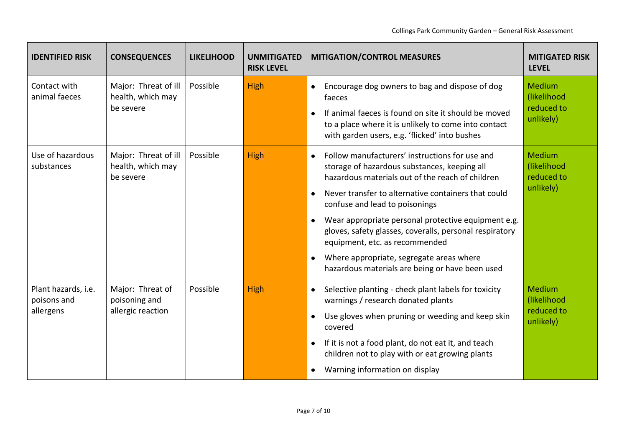| <b>IDENTIFIED RISK</b>                          | <b>CONSEQUENCES</b>                                    | <b>LIKELIHOOD</b> | <b>UNMITIGATED</b><br><b>RISK LEVEL</b> | <b>MITIGATION/CONTROL MEASURES</b>                                                                                                                                                                                                                                                                                                                                                                                                                                                                                                                 | <b>MITIGATED RISK</b><br><b>LEVEL</b>                   |
|-------------------------------------------------|--------------------------------------------------------|-------------------|-----------------------------------------|----------------------------------------------------------------------------------------------------------------------------------------------------------------------------------------------------------------------------------------------------------------------------------------------------------------------------------------------------------------------------------------------------------------------------------------------------------------------------------------------------------------------------------------------------|---------------------------------------------------------|
| Contact with<br>animal faeces                   | Major: Threat of ill<br>health, which may<br>be severe | Possible          | High                                    | Encourage dog owners to bag and dispose of dog<br>$\bullet$<br>faeces<br>If animal faeces is found on site it should be moved<br>$\bullet$<br>to a place where it is unlikely to come into contact<br>with garden users, e.g. 'flicked' into bushes                                                                                                                                                                                                                                                                                                | <b>Medium</b><br>(likelihood<br>reduced to<br>unlikely) |
| Use of hazardous<br>substances                  | Major: Threat of ill<br>health, which may<br>be severe | Possible          | High                                    | Follow manufacturers' instructions for use and<br>$\bullet$<br>storage of hazardous substances, keeping all<br>hazardous materials out of the reach of children<br>Never transfer to alternative containers that could<br>$\bullet$<br>confuse and lead to poisonings<br>Wear appropriate personal protective equipment e.g.<br>$\bullet$<br>gloves, safety glasses, coveralls, personal respiratory<br>equipment, etc. as recommended<br>Where appropriate, segregate areas where<br>$\bullet$<br>hazardous materials are being or have been used | <b>Medium</b><br>(likelihood<br>reduced to<br>unlikely) |
| Plant hazards, i.e.<br>poisons and<br>allergens | Major: Threat of<br>poisoning and<br>allergic reaction | Possible          | High                                    | Selective planting - check plant labels for toxicity<br>$\bullet$<br>warnings / research donated plants<br>Use gloves when pruning or weeding and keep skin<br>$\bullet$<br>covered<br>If it is not a food plant, do not eat it, and teach<br>$\bullet$<br>children not to play with or eat growing plants<br>Warning information on display<br>$\bullet$                                                                                                                                                                                          | <b>Medium</b><br>(likelihood<br>reduced to<br>unlikely) |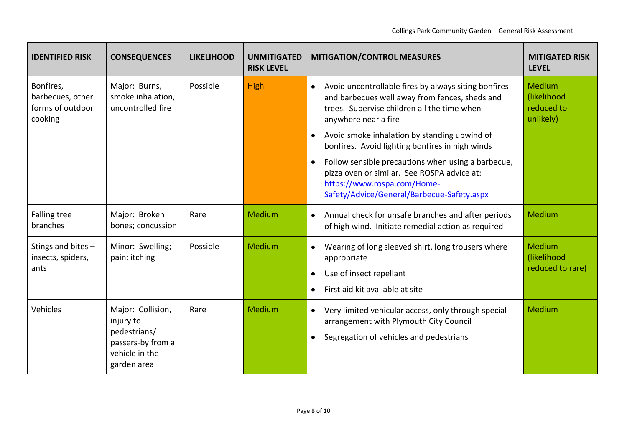| <b>IDENTIFIED RISK</b>                                       | <b>CONSEQUENCES</b>                                                                                  | <b>LIKELIHOOD</b> | <b>UNMITIGATED</b><br><b>RISK LEVEL</b> | <b>MITIGATION/CONTROL MEASURES</b>                                                                                                                                                          | <b>MITIGATED RISK</b><br><b>LEVEL</b>                   |
|--------------------------------------------------------------|------------------------------------------------------------------------------------------------------|-------------------|-----------------------------------------|---------------------------------------------------------------------------------------------------------------------------------------------------------------------------------------------|---------------------------------------------------------|
| Bonfires,<br>barbecues, other<br>forms of outdoor<br>cooking | Major: Burns,<br>smoke inhalation,<br>uncontrolled fire                                              | Possible          | High                                    | Avoid uncontrollable fires by always siting bonfires<br>$\bullet$<br>and barbecues well away from fences, sheds and<br>trees. Supervise children all the time when<br>anywhere near a fire  | <b>Medium</b><br>(likelihood<br>reduced to<br>unlikely) |
|                                                              |                                                                                                      |                   |                                         | Avoid smoke inhalation by standing upwind of<br>$\bullet$<br>bonfires. Avoid lighting bonfires in high winds                                                                                |                                                         |
|                                                              |                                                                                                      |                   |                                         | Follow sensible precautions when using a barbecue,<br>$\bullet$<br>pizza oven or similar. See ROSPA advice at:<br>https://www.rospa.com/Home-<br>Safety/Advice/General/Barbecue-Safety.aspx |                                                         |
| <b>Falling tree</b><br>branches                              | Major: Broken<br>bones; concussion                                                                   | Rare              | Medium                                  | Annual check for unsafe branches and after periods<br>$\bullet$<br>of high wind. Initiate remedial action as required                                                                       | Medium                                                  |
| Stings and bites -<br>insects, spiders,<br>ants              | Minor: Swelling;<br>pain; itching                                                                    | Possible          | Medium                                  | Wearing of long sleeved shirt, long trousers where<br>$\bullet$<br>appropriate<br>Use of insect repellant<br>$\bullet$<br>First aid kit available at site<br>$\bullet$                      | <b>Medium</b><br>(likelihood<br>reduced to rare)        |
| Vehicles                                                     | Major: Collision,<br>injury to<br>pedestrians/<br>passers-by from a<br>vehicle in the<br>garden area | Rare              | Medium                                  | Very limited vehicular access, only through special<br>$\bullet$<br>arrangement with Plymouth City Council<br>Segregation of vehicles and pedestrians<br>$\bullet$                          | Medium                                                  |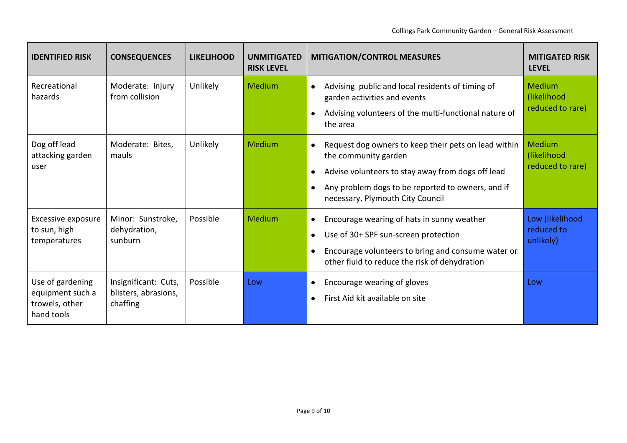| <b>IDENTIFIED RISK</b>                                               | <b>CONSEQUENCES</b>                                      | <b>LIKELIHOOD</b> | <b>UNMITIGATED</b><br><b>RISK LEVEL</b> | <b>MITIGATION/CONTROL MEASURES</b>                                                                                                                                                                                                                                | <b>MITIGATED RISK</b><br><b>LEVEL</b>            |
|----------------------------------------------------------------------|----------------------------------------------------------|-------------------|-----------------------------------------|-------------------------------------------------------------------------------------------------------------------------------------------------------------------------------------------------------------------------------------------------------------------|--------------------------------------------------|
| Recreational<br>hazards                                              | Moderate: Injury<br>from collision                       | Unlikely          | Medium                                  | Advising public and local residents of timing of<br>$\bullet$<br>garden activities and events<br>Advising volunteers of the multi-functional nature of<br>$\bullet$<br>the area                                                                                   | <b>Medium</b><br>(likelihood<br>reduced to rare) |
| Dog off lead<br>attacking garden<br>user                             | Moderate: Bites,<br>mauls                                | Unlikely          | Medium                                  | Request dog owners to keep their pets on lead within<br>$\bullet$<br>the community garden<br>Advise volunteers to stay away from dogs off lead<br>$\bullet$<br>Any problem dogs to be reported to owners, and if<br>$\bullet$<br>necessary, Plymouth City Council | Medium<br>(likelihood<br>reduced to rare)        |
| Excessive exposure<br>to sun, high<br>temperatures                   | Minor: Sunstroke,<br>dehydration,<br>sunburn             | Possible          | Medium                                  | Encourage wearing of hats in sunny weather<br>$\bullet$<br>Use of 30+ SPF sun-screen protection<br>$\bullet$<br>Encourage volunteers to bring and consume water or<br>$\bullet$<br>other fluid to reduce the risk of dehydration                                  | Low (likelihood<br>reduced to<br>unlikely)       |
| Use of gardening<br>equipment such a<br>trowels, other<br>hand tools | Insignificant: Cuts,<br>blisters, abrasions,<br>chaffing | Possible          | Low                                     | Encourage wearing of gloves<br>$\bullet$<br>First Aid kit available on site<br>$\bullet$                                                                                                                                                                          | Low                                              |